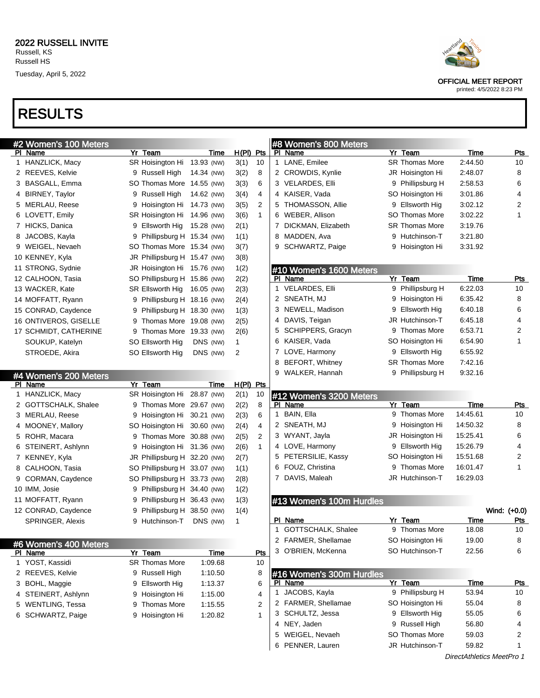## RESULTS

| #2 Women's 100 Meters |                                |             |             |              |   | #8 Women's 800 Meters    |   |                       |             |              |
|-----------------------|--------------------------------|-------------|-------------|--------------|---|--------------------------|---|-----------------------|-------------|--------------|
| PI Name               | Yr Team                        | Time        | $H(PI)$ Pts |              |   | PI Name                  |   | Yr Team               | <b>Time</b> | <u>Pts</u>   |
| 1 HANZLICK, Macy      | SR Hoisington Hi 13.93 (NW)    |             | 3(1)        | 10           |   | 1 LANE, Emilee           |   | SR Thomas More        | 2:44.50     | 10           |
| 2 REEVES, Kelvie      | 9 Russell High                 | 14.34 (NW)  | 3(2)        | 8            |   | 2 CROWDIS, Kynlie        |   | JR Hoisington Hi      | 2:48.07     | 8            |
| 3 BASGALL, Emma       | SO Thomas More 14.55 (NW)      |             | 3(3)        | 6            |   | 3 VELARDES, Elli         |   | 9 Phillipsburg H      | 2:58.53     | 6            |
| 4 BIRNEY, Taylor      | Russell High<br>9              | 14.62 (NW)  | 3(4)        | 4            |   | 4 KAISER, Vada           |   | SO Hoisington Hi      | 3:01.86     | 4            |
| 5 MERLAU, Reese       | Hoisington Hi 14.73 (NW)<br>9  |             | 3(5)        | 2            | 5 | THOMASSON, Allie         |   | 9 Ellsworth Hig       | 3:02.12     | 2            |
| 6 LOVETT, Emily       | SR Hoisington Hi 14.96 (NW)    |             | 3(6)        | $\mathbf{1}$ |   | 6 WEBER, Allison         |   | <b>SO Thomas More</b> | 3:02.22     | 1            |
| 7 HICKS, Danica       | Ellsworth Hig<br>9             | 15.28 (NW)  | 2(1)        |              | 7 | DICKMAN, Elizabeth       |   | <b>SR Thomas More</b> | 3:19.76     |              |
| 8 JACOBS, Kayla       | Phillipsburg H 15.34 (NW)<br>9 |             | 1(1)        |              | 8 | MADDEN, Ava              |   | 9 Hutchinson-T        | 3:21.80     |              |
| 9 WEIGEL, Nevaeh      | SO Thomas More 15.34 (NW)      |             | 3(7)        |              | 9 | SCHWARTZ, Paige          |   | 9 Hoisington Hi       | 3:31.92     |              |
| 10 KENNEY, Kyla       | JR Phillipsburg H 15.47 (NW)   |             | 3(8)        |              |   |                          |   |                       |             |              |
| 11 STRONG, Sydnie     | JR Hoisington Hi 15.76 (NW)    |             | 1(2)        |              |   | #10 Women's 1600 Meters  |   |                       |             |              |
| 12 CALHOON, Tasia     | SO Phillipsburg H 15.86 (NW)   |             | 2(2)        |              |   | PI Name                  |   | Yr Team               | <b>Time</b> | <b>Pts</b>   |
| 13 WACKER, Kate       | SR Ellsworth Hig               | 16.05 (NW)  | 2(3)        |              |   | 1 VELARDES, Elli         |   | 9 Phillipsburg H      | 6:22.03     | 10           |
| 14 MOFFATT, Ryann     | Phillipsburg H 18.16 (NW)<br>9 |             | 2(4)        |              |   | 2 SNEATH, MJ             | 9 | Hoisington Hi         | 6:35.42     | 8            |
| 15 CONRAD, Caydence   | Phillipsburg H 18.30 (NW)<br>9 |             | 1(3)        |              |   | 3 NEWELL, Madison        | 9 | Ellsworth Hig         | 6:40.18     | 6            |
| 16 ONTIVEROS, GISELLE | Thomas More 19.08 (NW)<br>9    |             | 2(5)        |              |   | 4 DAVIS, Teigan          |   | JR Hutchinson-T       | 6:45.18     | 4            |
| 17 SCHMIDT, CATHERINE | Thomas More 19.33 (NW)<br>9    |             | 2(6)        |              |   | 5 SCHIPPERS, Gracyn      | 9 | <b>Thomas More</b>    | 6:53.71     | 2            |
| SOUKUP, Katelyn       | SO Ellsworth Hig               | DNS (NW)    | 1           |              |   | 6 KAISER, Vada           |   | SO Hoisington Hi      | 6:54.90     | 1            |
| STROEDE, Akira        | SO Ellsworth Hig               | DNS (NW)    | 2           |              |   | 7 LOVE, Harmony          | 9 | Ellsworth Hig         | 6:55.92     |              |
|                       |                                |             |             |              |   | 8 BEFORT, Whitney        |   | <b>SR Thomas More</b> | 7:42.16     |              |
| #4 Women's 200 Meters |                                |             |             |              |   | 9 WALKER, Hannah         |   | 9 Phillipsburg H      | 9:32.16     |              |
| PI Name               | Yr Team                        | Time        | $H(PI)$ Pts |              |   |                          |   |                       |             |              |
| 1 HANZLICK, Macy      | SR Hoisington Hi 28.87 (NW)    |             | 2(1)        | 10           |   | #12 Women's 3200 Meters  |   |                       |             |              |
| 2 GOTTSCHALK, Shalee  | Thomas More 29.67 (NW)<br>9    |             | 2(2)        | 8            |   | PI Name                  |   | Yr Team               | Time        | Pts          |
| 3 MERLAU, Reese       | Hoisington Hi 30.21 (NW)<br>9  |             | 2(3)        | 6            |   | 1 BAIN, Ella             |   | 9 Thomas More         | 14:45.61    | 10           |
| 4 MOONEY, Mallory     | SO Hoisington Hi 30.60 (NW)    |             | 2(4)        | 4            |   | 2 SNEATH, MJ             |   | 9 Hoisington Hi       | 14:50.32    | 8            |
| 5 ROHR, Macara        | Thomas More 30.88 (NW)<br>9    |             | 2(5)        | 2            |   | 3 WYANT, Jayla           |   | JR Hoisington Hi      | 15:25.41    | 6            |
| 6 STEINERT, Ashlynn   | Hoisington Hi 31.36 (NW)<br>9  |             | 2(6)        | 1            |   | 4 LOVE, Harmony          |   | 9 Ellsworth Hig       | 15:26.79    | 4            |
| 7 KENNEY, Kyla        | JR Phillipsburg H 32.20 (NW)   |             | 2(7)        |              |   | 5 PETERSILIE, Kassy      |   | SO Hoisington Hi      | 15:51.68    | 2            |
| 8 CALHOON, Tasia      | SO Phillipsburg H 33.07 (NW)   |             | 1(1)        |              |   | 6 FOUZ, Christina        | 9 | Thomas More           | 16:01.47    | 1            |
| 9 CORMAN, Caydence    | SO Phillipsburg H 33.73 (NW)   |             | 2(8)        |              |   | 7 DAVIS, Maleah          |   | JR Hutchinson-T       | 16:29.03    |              |
| 10 IMM, Josie         | Phillipsburg H 34.40 (NW)<br>9 |             | 1(2)        |              |   |                          |   |                       |             |              |
| 11 MOFFATT, Ryann     | Phillipsburg H 36.43 (NW)<br>9 |             | 1(3)        |              |   | #13 Women's 100m Hurdles |   |                       |             |              |
| 12 CONRAD, Caydence   | 9<br>Phillipsburg H 38.50 (NW) |             | 1(4)        |              |   |                          |   |                       |             | Wind: (+0.0) |
| SPRINGER, Alexis      | Hutchinson-T<br>9              | DNS (NW)    | 1           |              |   | PI Name                  |   | Yr Team               | Time        | <u>Pts</u>   |
|                       |                                |             |             |              |   | 1 GOTTSCHALK, Shalee     |   | 9 Thomas More         | 18.08       | 10           |
| #6 Women's 400 Meters |                                |             |             |              |   | 2 FARMER, Shellamae      |   | SO Hoisington Hi      | 19.00       | 8            |
| PI Name               | Yr Team                        | <b>Time</b> |             | <b>Pts</b>   |   | 3 O'BRIEN, McKenna       |   | SO Hutchinson-T       | 22.56       | 6            |
| 1 YOST, Kassidi       | <b>SR Thomas More</b>          | 1:09.68     |             | 10           |   |                          |   |                       |             |              |
| 2 REEVES, Kelvie      | 9 Russell High                 | 1:10.50     |             | 8            |   | #16 Women's 300m Hurdles |   |                       |             |              |
| 3 BOHL, Maggie        | Ellsworth Hig<br>9             | 1:13.37     |             | 6            |   | PI Name                  |   | Yr Team               | <b>Time</b> | <u>Pts</u>   |
| 4 STEINERT, Ashlynn   | Hoisington Hi<br>9             | 1:15.00     |             | 4            |   | 1 JACOBS, Kayla          |   | 9 Phillipsburg H      | 53.94       | 10           |
| 5 WENTLING, Tessa     | <b>Thomas More</b><br>9        | 1:15.55     |             | 2            |   | 2 FARMER, Shellamae      |   | SO Hoisington Hi      | 55.04       | 8            |
| 6 SCHWARTZ, Paige     | 9 Hoisington Hi                | 1:20.82     |             | 1            |   | 3 SCHULTZ, Jessa         |   | 9 Ellsworth Hig       | 55.05       | 6            |
|                       |                                |             |             |              |   | 4 NEY, Jaden             |   | 9 Russell High        | 56.80       | 4            |
|                       |                                |             |             |              |   | 5 WEIGEL, Nevaeh         |   | SO Thomas More        | 59.03       | 2            |
|                       |                                |             |             |              |   | 6 PENNER, Lauren         |   | JR Hutchinson-T       | 59.82       | $\mathbf{1}$ |

OFFICIAL MEET REPORT

printed: 4/5/2022 8:23 PM

DirectAthletics MeetPro 1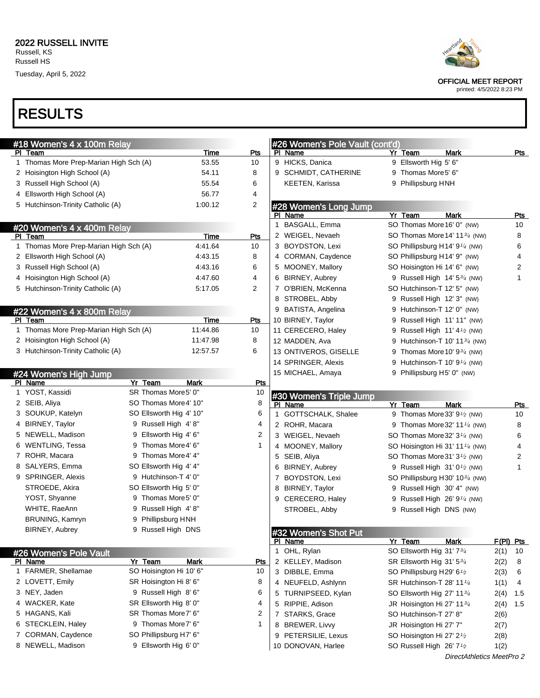Tuesday, April 5, 2022





OFFICIAL MEET REPORT

printed: 4/5/2022 8:23 PM

| #18 Women's 4 x 100m Relay             |         |                         |                | #26 Women's Pole Vault (cont'd) |                                                                  |      |             |
|----------------------------------------|---------|-------------------------|----------------|---------------------------------|------------------------------------------------------------------|------|-------------|
| PI Team                                |         | Time                    | Pts            | PI Name                         | Yr Team<br><b>Mark</b>                                           |      | Pts         |
| 1 Thomas More Prep-Marian High Sch (A) |         | 53.55                   | 10             | 9 HICKS, Danica                 | 9 Ellsworth Hig 5' 6"                                            |      |             |
| 2 Hoisington High School (A)           |         | 54.11                   | 8              | 9 SCHMIDT, CATHERINE            | 9 Thomas More5' 6"                                               |      |             |
| 3 Russell High School (A)              |         | 55.54                   | 6              | KEETEN, Karissa                 | 9 Phillipsburg HNH                                               |      |             |
| 4 Ellsworth High School (A)            |         | 56.77                   | 4              |                                 |                                                                  |      |             |
| 5 Hutchinson-Trinity Catholic (A)      |         | 1:00.12                 | $\overline{2}$ | #28 Women's Long Jump           |                                                                  |      |             |
|                                        |         |                         |                | PI Name                         | Yr Team<br><b>Mark</b>                                           |      | <b>Pts</b>  |
| #20 Women's 4 x 400m Relay             |         |                         |                | 1 BASGALL, Emma                 | SO Thomas More 16' 0" (NW)                                       |      | 10          |
| PI Team                                |         | <b>Time</b>             | <b>Pts</b>     | 2 WEIGEL, Nevaeh                | SO Thomas More 14' 11 <sup>3/4</sup> (NW)                        |      | 8           |
| 1 Thomas More Prep-Marian High Sch (A) |         | 4:41.64                 | 10             | 3 BOYDSTON, Lexi                | SO Phillipsburg H14' 9 <sup>1/4</sup> (NW)                       |      | 6           |
| 2 Ellsworth High School (A)            |         | 4.43.15                 | 8              | 4 CORMAN, Caydence              | SO Phillipsburg H14' 9" (NW)                                     |      | 4           |
| 3 Russell High School (A)              |         | 4:43.16                 | 6              | 5 MOONEY, Mallory               | SO Hoisington Hi 14' 6" (NW)                                     |      | 2           |
| 4 Hoisington High School (A)           |         | 4:47.60                 | 4              | 6 BIRNEY, Aubrey                | 9 Russell High 14' 53/4 (NW)                                     |      | 1           |
| 5 Hutchinson-Trinity Catholic (A)      |         | 5:17.05                 | 2              | 7 O'BRIEN, McKenna              | SO Hutchinson-T 12' 5" (NW)                                      |      |             |
|                                        |         |                         |                | 8 STROBEL, Abby                 | 9 Russell High 12' 3" (NW)                                       |      |             |
| #22 Women's 4 x 800m Relay             |         |                         |                | 9 BATISTA, Angelina             | 9 Hutchinson-T 12' 0" (NW)                                       |      |             |
| PI Team                                |         | Time                    | Pts            | 10 BIRNEY, Taylor               | 9 Russell High 11' 11" (NW)                                      |      |             |
| 1 Thomas More Prep-Marian High Sch (A) |         | 11:44.86                | 10             | 11 CERECERO, Haley              | 9 Russell High $11'4'$ (NW)                                      |      |             |
| 2 Hoisington High School (A)           |         | 11:47.98                | 8              | 12 MADDEN, Ava                  | 9 Hutchinson-T 10' 11 <sup>3/4</sup> (NW)                        |      |             |
| 3 Hutchinson-Trinity Catholic (A)      |         | 12:57.57                | 6              | 13 ONTIVEROS, GISELLE           | 9 Thomas More 10' 9 <sup>3/4</sup> (NW)                          |      |             |
|                                        |         |                         |                | 14 SPRINGER, Alexis             | 9 Hutchinson-T 10' $9\frac{1}{4}$ (NW)                           |      |             |
| #24 Women's High Jump                  |         |                         |                | 15 MICHAEL, Amaya               | 9 Phillipsburg H5' 0" (NW)                                       |      |             |
| PI Name                                | Yr Team | Mark                    | Pts            |                                 |                                                                  |      |             |
| 1 YOST, Kassidi                        |         | SR Thomas More5' 0"     | 10             | #30 Women's Triple Jump         |                                                                  |      |             |
| 2 SEIB, Aliya                          |         | SO Thomas More 4' 10"   | 8              | PI Name                         | Yr Team<br>Mark                                                  |      | Pts         |
| 3 SOUKUP, Katelyn                      |         | SO Ellsworth Hig 4' 10" | 6              | 1 GOTTSCHALK, Shalee            | 9 Thomas More 33' 9 <sup>1</sup> / <sub>2</sub> (NW)             |      | 10          |
| 4 BIRNEY, Taylor                       |         | 9 Russell High 4'8"     | 4              | 2 ROHR, Macara                  | 9 Thomas More 32' 11 <sup>1/4</sup> (NW)                         |      | 8           |
| 5 NEWELL, Madison                      |         | 9 Ellsworth Hig 4' 6"   | 2              | 3 WEIGEL, Nevaeh                | SO Thomas More 32' 3 <sup>1/4</sup> (NW)                         |      | 6           |
| 6 WENTLING, Tessa                      |         | 9 Thomas More4' 6"      | 1              | 4 MOONEY, Mallory               | SO Hoisington Hi 31' 11 <sup>1/4</sup> (NW)                      |      | 4           |
| 7 ROHR, Macara                         |         | 9 Thomas More4' 4"      |                | 5 SEIB, Aliya                   | SO Thomas More 31' 3 <sup>1</sup> / <sub>2</sub> (NW)            |      | 2           |
| 8 SALYERS, Emma                        |         | SO Ellsworth Hig 4' 4"  |                | 6 BIRNEY, Aubrey                | 9 Russell High 31' 01/2 (NW)                                     |      | 1           |
| 9 SPRINGER, Alexis                     |         | 9 Hutchinson-T 4' 0"    |                | 7 BOYDSTON, Lexi                | SO Phillipsburg H30' 1034 (NW)                                   |      |             |
| STROEDE, Akira                         |         | SO Ellsworth Hig 5' 0"  |                | 8 BIRNEY, Taylor                | 9 Russell High 30' 4" (NW)                                       |      |             |
| YOST, Shyanne                          |         | 9 Thomas More5' 0"      |                | 9 CERECERO, Haley               | 9 Russell High 26' 9 <sup>1/4</sup> (NW)                         |      |             |
| WHITE, RaeAnn                          |         | 9 Russell High 4'8"     |                | STROBEL, Abby                   | 9 Russell High DNS (NW)                                          |      |             |
| BRUNING, Kamryn                        |         | 9 Phillipsburg HNH      |                |                                 |                                                                  |      |             |
| BIRNEY, Aubrey                         |         | 9 Russell High DNS      |                |                                 |                                                                  |      |             |
|                                        |         |                         |                | #32 Women's Shot Put<br>PI Name | Yr Team<br>Mark                                                  |      | $F(PI)$ Pts |
|                                        |         |                         |                | 1 OHL, Rylan                    | SO Ellsworth Hig 31' 73/4                                        | 2(1) | 10          |
| #26 Women's Pole Vault<br>PI Name      | Yr Team | <b>Mark</b>             | <b>Pts</b>     | 2 KELLEY, Madison               | SR Ellsworth Hig 31' 53/4                                        | 2(2) | 8           |
| 1 FARMER, Shellamae                    |         | SO Hoisington Hi 10' 6" | 10             | 3 DIBBLE, Emma                  | SO Phillipsburg H29' 6 <sup>1</sup> /2                           | 2(3) | 6           |
| 2 LOVETT, Emily                        |         | SR Hoisington Hi 8' 6"  | 8              | 4 NEUFELD, Ashlynn              | SR Hutchinson-T 28' 11 <sup>1/4</sup>                            | 1(1) | 4           |
| 3 NEY, Jaden                           |         | 9 Russell High 8' 6"    | 6              | 5 TURNIPSEED, Kylan             | SO Ellsworth Hig 27' 11 <sup>3/4</sup>                           |      |             |
| 4 WACKER, Kate                         |         | SR Ellsworth Hig 8' 0"  | 4              | 5 RIPPIE, Adison                |                                                                  | 2(4) | 1.5         |
| 5 HAGANS, Kali                         |         | SR Thomas More7' 6"     | 2              | 7 STARKS, Grace                 | JR Hoisington Hi 27' 11 <sup>3/4</sup><br>SO Hutchinson-T 27' 8" | 2(4) | 1.5         |
| 6 STECKLEIN, Haley                     |         | 9 Thomas More7' 6"      | 1              | 8 BREWER, Livvy                 |                                                                  | 2(6) |             |
| 7 CORMAN, Caydence                     |         | SO Phillipsburg H7' 6"  |                |                                 | JR Hoisington Hi 27' 7"                                          | 2(7) |             |
| 8 NEWELL, Madison                      |         | 9 Ellsworth Hig 6' 0"   |                | 9 PETERSILIE, Lexus             | SO Hoisington Hi 27' 2 <sup>1</sup> /2                           | 2(8) |             |
|                                        |         |                         |                | 10 DONOVAN, Harlee              | SO Russell High 26' 7 <sup>1</sup> /2                            | 1(2) |             |
|                                        |         |                         |                |                                 | DirectAthletics MeetPro 2                                        |      |             |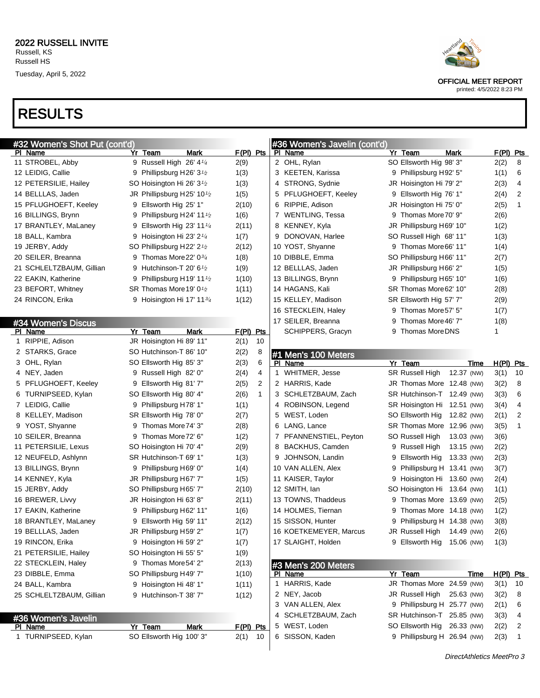

| #32 Women's Shot Put (cont'd) |   |                                                    |             |              |   | #36 Women's Javelin (cont'd) |   |                             |            |             |    |
|-------------------------------|---|----------------------------------------------------|-------------|--------------|---|------------------------------|---|-----------------------------|------------|-------------|----|
| PI Name                       |   | Yr Team<br>Mark                                    | $F(PI)$ Pts |              |   | PI Name                      |   | Yr Team                     | Mark       | $F(PI)$ Pts |    |
| 11 STROBEL, Abby              |   | 9 Russell High 26' 41/4                            | 2(9)        |              |   | 2 OHL, Rylan                 |   | SO Ellsworth Hig 98' 3"     |            | 2(2)        | 8  |
| 12 LEIDIG, Callie             | 9 | Phillipsburg H26' $3\frac{1}{2}$                   | 1(3)        |              |   | 3 KEETEN, Karissa            |   | 9 Phillipsburg H92' 5"      |            | 1(1)        | 6  |
| 12 PETERSILIE, Hailey         |   | SO Hoisington Hi 26' 3 <sup>1</sup> / <sub>2</sub> | 1(3)        |              |   | 4 STRONG, Sydnie             |   | JR Hoisington Hi 79' 2"     |            | 2(3)        | 4  |
| 14 BELLLAS, Jaden             |   | JR Phillipsburg H25' 10 $\frac{1}{2}$              | 1(5)        |              |   | 5 PFLUGHOEFT, Keeley         |   | 9 Ellsworth Hig 76' 1"      |            | 2(4)        | 2  |
| 15 PFLUGHOEFT, Keeley         | 9 | Ellsworth Hig 25' 1"                               | 2(10)       |              |   | 6 RIPPIE, Adison             |   | JR Hoisington Hi 75' 0"     |            | 2(5)        | 1  |
| 16 BILLINGS, Brynn            | 9 | Phillipsburg H24' 11 <sup>1</sup> /2               | 1(6)        |              |   | 7 WENTLING, Tessa            |   | 9 Thomas More 70' 9"        |            | 2(6)        |    |
| 17 BRANTLEY, MaLaney          | 9 | Ellsworth Hig 23' 11 $\frac{1}{4}$                 | 2(11)       |              |   | 8 KENNEY, Kyla               |   | JR Phillipsburg H69' 10"    |            | 1(2)        |    |
| 18 BALL, Kambra               | 9 | Hoisington Hi 23' 2 $\frac{1}{4}$                  | 1(7)        |              |   | 9 DONOVAN, Harlee            |   | SO Russell High 68' 11"     |            | 1(3)        |    |
| 19 JERBY, Addy                |   | SO Phillipsburg H22' 2 <sup>1</sup> /2             | 2(12)       |              |   | 10 YOST, Shyanne             |   | 9 Thomas More 66' 11"       |            | 1(4)        |    |
| 20 SEILER, Breanna            |   | 9 Thomas More 22' 0 <sup>3/4</sup>                 | 1(8)        |              |   | 10 DIBBLE, Emma              |   | SO Phillipsburg H66' 11"    |            | 2(7)        |    |
| 21 SCHLELTZBAUM, Gillian      | 9 | Hutchinson-T 20' 6 $\frac{1}{2}$                   | 1(9)        |              |   | 12 BELLLAS, Jaden            |   | JR Phillipsburg H66' 2"     |            | 1(5)        |    |
| 22 EAKIN, Katherine           | 9 | Phillipsburg H19' 11 <sup>1</sup> /2               | 1(10)       |              |   | 13 BILLINGS, Brynn           |   | 9 Phillipsburg H65' 10"     |            | 1(6)        |    |
| 23 BEFORT, Whitney            |   | SR Thomas More 19' 0 <sup>1</sup> /2               | 1(11)       |              |   | 14 HAGANS, Kali              |   | SR Thomas More 62' 10"      |            | 2(8)        |    |
| 24 RINCON, Erika              |   | 9 Hoisington Hi 17' 113/4                          | 1(12)       |              |   | 15 KELLEY, Madison           |   | SR Ellsworth Hig 57' 7"     |            | 2(9)        |    |
|                               |   |                                                    |             |              |   | 16 STECKLEIN, Haley          |   | 9 Thomas More 57' 5"        |            | 1(7)        |    |
| #34 Women's Discus            |   |                                                    |             |              |   | 17 SEILER, Breanna           | 9 | Thomas More 46' 7"          |            | 1(8)        |    |
| PI Name                       |   | Yr Team<br>Mark                                    | $F(PI)$ Pts |              |   | SCHIPPERS, Gracyn            |   | 9 Thomas More DNS           |            | 1           |    |
| 1 RIPPIE, Adison              |   | JR Hoisington Hi 89' 11"                           | 2(1)        | 10           |   |                              |   |                             |            |             |    |
| 2 STARKS, Grace               |   | SO Hutchinson-T 86' 10"                            | 2(2)        | 8            |   | #1 Men's 100 Meters          |   |                             |            |             |    |
| 3 OHL, Rylan                  |   | SO Ellsworth Hig 85' 3"                            | 2(3)        | 6            |   | PI Name                      |   | Yr Team                     | Time       | $H(PI)$ Pts |    |
| 4 NEY, Jaden                  |   | 9 Russell High 82' 0"                              | 2(4)        | 4            |   | 1 WHITMER, Jesse             |   | <b>SR Russell High</b>      | 12.37 (NW) | 3(1)        | 10 |
| 5 PFLUGHOEFT, Keeley          |   | 9 Ellsworth Hig 81' 7"                             | 2(5)        | 2            |   | 2 HARRIS, Kade               |   | JR Thomas More 12.48 (NW)   |            | 3(2)        | 8  |
| 6 TURNIPSEED, Kylan           |   | SO Ellsworth Hig 80' 4"                            | 2(6)        | $\mathbf{1}$ |   | 3 SCHLETZBAUM, Zach          |   | SR Hutchinson-T 12.49 (NW)  |            | 3(3)        | 6  |
| 7 LEIDIG, Callie              |   | 9 Phillipsburg H78' 1"                             | 1(1)        |              |   | 4 ROBINSON, Legend           |   | SR Hoisington Hi 12.51 (NW) |            | 3(4)        | 4  |
| 8 KELLEY, Madison             |   | SR Ellsworth Hig 78' 0"                            | 2(7)        |              |   | 5 WEST, Loden                |   | SO Ellsworth Hig 12.82 (NW) |            | 2(1)        | 2  |
| 9 YOST, Shyanne               |   | 9 Thomas More 74' 3"                               | 2(8)        |              |   | 6 LANG, Lance                |   | SR Thomas More 12.96 (NW)   |            | 3(5)        | 1  |
| 10 SEILER, Breanna            |   | 9 Thomas More 72' 6"                               | 1(2)        |              |   | 7 PFANNENSTIEL, Peyton       |   | SO Russell High             | 13.03 (NW) | 3(6)        |    |
| 11 PETERSILIE, Lexus          |   | SO Hoisington Hi 70' 4"                            | 2(9)        |              |   | 8 BACKHUS, Camden            |   | 9 Russell High              | 13.15 (NW) | 2(2)        |    |
| 12 NEUFELD, Ashlynn           |   | SR Hutchinson-T 69' 1"                             | 1(3)        |              | 9 | JOHNSON, Landin              |   | 9 Ellsworth Hig             | 13.33 (NW) | 2(3)        |    |
| 13 BILLINGS, Brynn            |   | 9 Phillipsburg H69' 0"                             | 1(4)        |              |   | 10 VAN ALLEN, Alex           |   | 9 Phillipsburg H 13.41 (NW) |            | 3(7)        |    |
| 14 KENNEY, Kyla               |   | JR Phillipsburg H67' 7"                            | 1(5)        |              |   | 11 KAISER, Taylor            |   | 9 Hoisington Hi 13.60 (NW)  |            | 2(4)        |    |
| 15 JERBY, Addy                |   | SO Phillipsburg H65' 7"                            | 2(10)       |              |   | 12 SMITH, Ian                |   | SO Hoisington Hi 13.64 (NW) |            | 1(1)        |    |
| 16 BREWER, Livvy              |   | JR Hoisington Hi 63' 8"                            | 2(11)       |              |   | 13 TOWNS, Thaddeus           |   | 9 Thomas More 13.69 (NW)    |            | 2(5)        |    |
| 17 EAKIN, Katherine           | 9 | Phillipsburg H62' 11"                              | 1(6)        |              |   | 14 HOLMES, Tiernan           |   | Thomas More 14.18 (NW)      |            | 1(2)        |    |
| 18 BRANTLEY, MaLaney          |   | 9 Ellsworth Hig 59' 11"                            | 2(12)       |              |   | 15 SISSON, Hunter            |   | 9 Phillipsburg H 14.38 (NW) |            | 3(8)        |    |
| 19 BELLLAS, Jaden             |   | JR Phillipsburg H59' 2"                            | 1(7)        |              |   | 16 KOETKEMEYER, Marcus       |   | JR Russell High             | 14.49 (NW) | 2(6)        |    |
| 19 RINCON, Erika              |   | 9 Hoisington Hi 59' 2"                             | 1(7)        |              |   | 17 SLAIGHT, Holden           |   | 9 Ellsworth Hig             | 15.06 (NW) | 1(3)        |    |
| 21 PETERSILIE, Hailey         |   | SO Hoisington Hi 55' 5"                            | 1(9)        |              |   |                              |   |                             |            |             |    |
| 22 STECKLEIN, Haley           |   | 9 Thomas More54' 2"                                | 2(13)       |              |   | #3 Men's 200 Meters          |   |                             |            |             |    |
| 23 DIBBLE, Emma               |   | SO Phillipsburg H49' 7"                            | 1(10)       |              |   | PI Name                      |   | Yr Team                     | Time       | $H(PI)$ Pts |    |
| 24 BALL, Kambra               |   | 9 Hoisington Hi 48' 1"                             | 1(11)       |              |   | 1 HARRIS, Kade               |   | JR Thomas More 24.59 (NW)   |            | 3(1)        | 10 |
| 25 SCHLELTZBAUM, Gillian      |   | 9 Hutchinson-T 38' 7"                              | 1(12)       |              |   | 2 NEY, Jacob                 |   | JR Russell High             | 25.63 (NW) | 3(2)        | 8  |
|                               |   |                                                    |             |              |   | 3 VAN ALLEN, Alex            |   | 9 Phillipsburg H 25.77 (NW) |            | 2(1)        | 6  |
| #36 Women's Javelin           |   |                                                    |             |              |   | 4 SCHLETZBAUM, Zach          |   | SR Hutchinson-T 25.85 (NW)  |            | 3(3)        | 4  |
| PI Name                       |   | Yr Team<br>Mark                                    | F(PI) Pts   |              |   | 5 WEST, Loden                |   | SO Ellsworth Hig            | 26.33 (NW) | 2(2)        | 2  |
| 1 TURNIPSEED, Kylan           |   | SO Ellsworth Hig 100' 3"                           | 2(1)        | 10           |   | 6 SISSON, Kaden              |   | 9 Phillipsburg H 26.94 (NW) |            | 2(3)        | -1 |

OFFICIAL MEET REPORT

printed: 4/5/2022 8:23 PM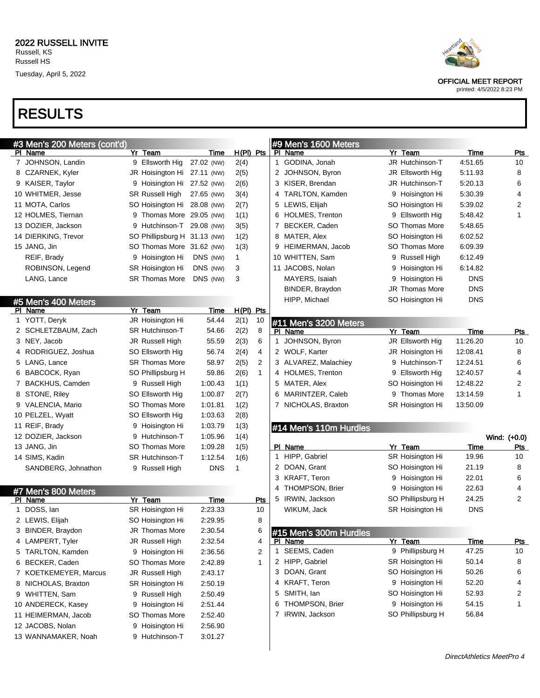## RESULTS

| #3 Men's 200 Meters (cont'd) |                              |             |             |              |     | #9 Men's 1600 Meters   |                   |             |              |
|------------------------------|------------------------------|-------------|-------------|--------------|-----|------------------------|-------------------|-------------|--------------|
| PI Name                      | Yr Team                      | Time        | H(PI) Pts   |              |     | PI Name                | Yr Team           | Time        | <u>Pts</u>   |
| 7 JOHNSON, Landin            | 9 Ellsworth Hig              | 27.02 (NW)  | 2(4)        |              |     | 1 GODINA, Jonah        | JR Hutchinson-T   | 4:51.65     | 10           |
| 8 CZARNEK, Kyler             | JR Hoisington Hi 27.11 (NW)  |             | 2(5)        |              |     | 2 JOHNSON, Byron       | JR Ellsworth Hig  | 5:11.93     | 8            |
| 9 KAISER, Taylor             | 9 Hoisington Hi 27.52 (NW)   |             | 2(6)        |              |     | 3 KISER, Brendan       | JR Hutchinson-T   | 5:20.13     | 6            |
| 10 WHITMER, Jesse            | <b>SR Russell High</b>       | 27.65 (NW)  | 3(4)        |              |     | 4 TARLTON, Kamden      | 9 Hoisington Hi   | 5:30.39     | 4            |
| 11 MOTA, Carlos              | SO Hoisington Hi 28.08 (NW)  |             | 2(7)        |              |     | 5 LEWIS, Elijah        | SO Hoisington Hi  | 5:39.02     | 2            |
| 12 HOLMES, Tiernan           | 9 Thomas More 29.05 (NW)     |             | 1(1)        |              |     | 6 HOLMES, Trenton      | 9 Ellsworth Hig   | 5:48.42     | 1            |
| 13 DOZIER, Jackson           | 9 Hutchinson-T 29.08 (NW)    |             | 3(5)        |              |     | 7 BECKER, Caden        | SO Thomas More    | 5:48.65     |              |
| 14 DIERKING, Trevor          | SO Phillipsburg H 31.13 (NW) |             | 1(2)        |              |     | 8 MATER, Alex          | SO Hoisington Hi  | 6:02.52     |              |
| 15 JANG, Jin                 | SO Thomas More 31.62 (NW)    |             | 1(3)        |              |     | 9 HEIMERMAN, Jacob     | SO Thomas More    | 6:09.39     |              |
| REIF, Brady                  | 9 Hoisington Hi              | DNS (NW)    | 1           |              |     | 10 WHITTEN, Sam        | 9 Russell High    | 6:12.49     |              |
| ROBINSON, Legend             | SR Hoisington Hi             | DNS (NW)    | 3           |              |     | 11 JACOBS, Nolan       | 9 Hoisington Hi   | 6:14.82     |              |
| LANG, Lance                  | <b>SR Thomas More</b>        | DNS (NW)    | 3           |              |     | MAYERS, Isaiah         | 9 Hoisington Hi   | <b>DNS</b>  |              |
|                              |                              |             |             |              |     | BINDER, Braydon        | JR Thomas More    | <b>DNS</b>  |              |
| #5 Men's 400 Meters          |                              |             |             |              |     | HIPP, Michael          | SO Hoisington Hi  | <b>DNS</b>  |              |
| PI Name                      | Yr Team                      | <b>Time</b> | $H(PI)$ Pts |              |     |                        |                   |             |              |
| 1 YOTT, Deryk                | JR Hoisington Hi             | 54.44       | 2(1)        | 10           |     | #11 Men's 3200 Meters  |                   |             |              |
| 2 SCHLETZBAUM, Zach          | <b>SR Hutchinson-T</b>       | 54.66       | 2(2)        | 8            |     | PI Name                | Yr Team           | Time        | <b>Pts</b>   |
| 3 NEY, Jacob                 | JR Russell High              | 55.59       | 2(3)        | 6            | 1.  | JOHNSON, Byron         | JR Ellsworth Hig  | 11:26.20    | 10           |
| 4 RODRIGUEZ, Joshua          | SO Ellsworth Hig             | 56.74       | 2(4)        | 4            |     | 2 WOLF, Karter         | JR Hoisington Hi  | 12:08.41    | 8            |
| 5 LANG, Lance                | <b>SR Thomas More</b>        | 58.97       | 2(5)        | 2            |     | 3 ALVAREZ, Malachiey   | 9 Hutchinson-T    | 12:24.51    | 6            |
| 6 BABCOCK, Ryan              | SO Phillipsburg H            | 59.86       | 2(6)        | $\mathbf{1}$ |     | 4 HOLMES, Trenton      | 9 Ellsworth Hig   | 12:40.57    | 4            |
| 7 BACKHUS, Camden            | 9 Russell High               | 1:00.43     | 1(1)        |              |     | 5 MATER, Alex          | SO Hoisington Hi  | 12:48.22    | 2            |
| 8 STONE, Riley               | SO Ellsworth Hig             | 1:00.87     | 2(7)        |              | 6.  | MARINTZER, Caleb       | 9 Thomas More     | 13:14.59    | 1            |
| 9 VALENCIA, Mario            | <b>SO Thomas More</b>        | 1:01.81     | 1(2)        |              |     | 7 NICHOLAS, Braxton    | SR Hoisington Hi  | 13:50.09    |              |
| 10 PELZEL, Wyatt             | SO Ellsworth Hig             | 1:03.63     | 2(8)        |              |     |                        |                   |             |              |
| 11 REIF, Brady               | 9 Hoisington Hi              | 1:03.79     | 1(3)        |              |     | #14 Men's 110m Hurdles |                   |             |              |
| 12 DOZIER, Jackson           | 9 Hutchinson-T               | 1:05.96     | 1(4)        |              |     |                        |                   |             | Wind: (+0.0) |
| 13 JANG, Jin                 | <b>SO Thomas More</b>        | 1:09.28     | 1(5)        |              |     | PI Name                | Yr Team           | Time        | Pts          |
| 14 SIMS, Kadin               | <b>SR Hutchinson-T</b>       | 1:12.54     | 1(6)        |              | 1   | HIPP, Gabriel          | SR Hoisington Hi  | 19.96       | 10           |
| SANDBERG, Johnathon          | 9 Russell High               | <b>DNS</b>  | 1           |              |     | 2 DOAN, Grant          | SO Hoisington Hi  | 21.19       | 8            |
|                              |                              |             |             |              |     | 3 KRAFT, Teron         | 9 Hoisington Hi   | 22.01       | 6            |
| #7 Men's 800 Meters          |                              |             |             |              | 4   | THOMPSON, Brier        | 9 Hoisington Hi   | 22.63       | 4            |
| PI Name                      | Yr Team                      | Time        |             | Pts          | 5   | IRWIN, Jackson         | SO Phillipsburg H | 24.25       | 2            |
| 1 DOSS, lan                  | SR Hoisington Hi             | 2:23.33     |             | 10           |     | WIKUM, Jack            | SR Hoisington Hi  | <b>DNS</b>  |              |
| 2 LEWIS, Elijah              | SO Hoisington Hi             | 2:29.95     |             | 8            |     |                        |                   |             |              |
| 3 BINDER, Braydon            | JR Thomas More               | 2:30.54     |             | 6            |     | #15 Men's 300m Hurdles |                   |             |              |
| 4 LAMPERT, Tyler             | JR Russell High              | 2:32.54     |             | 4            | PI. | Name                   | Yr Team           | <u>Time</u> | <u>Pts</u>   |
| 5 TARLTON, Kamden            | 9 Hoisington Hi              | 2:36.56     |             | 2            |     | 1 SEEMS, Caden         | 9 Phillipsburg H  | 47.25       | 10           |
| 6 BECKER, Caden              | SO Thomas More               | 2:42.89     |             | 1            |     | 2 HIPP, Gabriel        | SR Hoisington Hi  | 50.14       | 8            |
| 7 KOETKEMEYER, Marcus        | JR Russell High              | 2:43.17     |             |              |     | 3 DOAN, Grant          | SO Hoisington Hi  | 50.26       | 6            |
| 8 NICHOLAS, Braxton          | SR Hoisington Hi             | 2:50.19     |             |              |     | 4 KRAFT, Teron         | 9 Hoisington Hi   | 52.20       | 4            |
| 9 WHITTEN, Sam               | 9 Russell High               | 2:50.49     |             |              |     | 5 SMITH, lan           | SO Hoisington Hi  | 52.93       | 2            |
| 10 ANDERECK, Kasey           | 9 Hoisington Hi              | 2:51.44     |             |              | 6   | THOMPSON, Brier        | 9 Hoisington Hi   | 54.15       | 1            |
| 11 HEIMERMAN, Jacob          | <b>SO Thomas More</b>        | 2:52.40     |             |              |     | 7 IRWIN, Jackson       | SO Phillipsburg H | 56.84       |              |
| 12 JACOBS, Nolan             | 9 Hoisington Hi              | 2:56.90     |             |              |     |                        |                   |             |              |
| 13 WANNAMAKER, Noah          | 9 Hutchinson-T               | 3:01.27     |             |              |     |                        |                   |             |              |
|                              |                              |             |             |              |     |                        |                   |             |              |
|                              |                              |             |             |              |     |                        |                   |             |              |



OFFICIAL MEET REPORT

printed: 4/5/2022 8:23 PM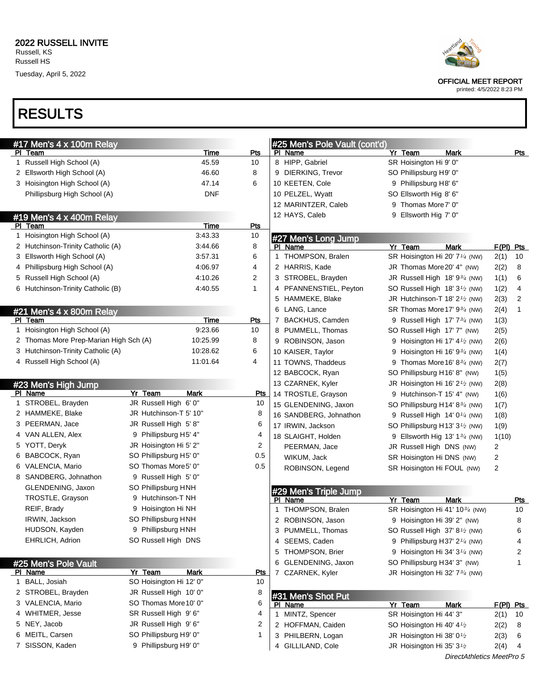Tuesday, April 5, 2022



OFFICIAL MEET REPORT

printed: 4/5/2022 8:23 PM

## RESULTS

| Pts<br>Yr Team<br><b>Mark</b><br>Pts<br>Time<br>PI Name<br>PI Team<br>8 HIPP, Gabriel<br>Russell High School (A)<br>45.59<br>SR Hoisington Hi 9' 0"<br>10<br>$\mathbf{1}$<br>2 Ellsworth High School (A)<br>8<br>9 DIERKING, Trevor<br>SO Phillipsburg H9' 0"<br>46.60<br>6<br>10 KEETEN, Cole<br>3 Hoisington High School (A)<br>47.14<br>9 Phillipsburg H8' 6"<br><b>DNF</b><br>Phillipsburg High School (A)<br>10 PELZEL, Wyatt<br>SO Ellsworth Hig 8' 6"<br>12 MARINTZER, Caleb<br>9 Thomas More 7' 0"<br>12 HAYS, Caleb<br>9 Ellsworth Hig 7' 0"<br>#19 Men's 4 x 400m Relay<br>Time<br><b>Pts</b><br>PI Team<br>1 Hoisington High School (A)<br>3:43.33<br>10<br>#27 Men's Long Jump<br>2 Hutchinson-Trinity Catholic (A)<br>3:44.66<br>8<br>Yr Team<br><b>Mark</b><br>$F(PI)$ Pts<br>PI Name<br>1 THOMPSON, Bralen<br>3 Ellsworth High School (A)<br>6<br>SR Hoisington Hi 20' 7 <sup>1/4</sup> (NW)<br>10<br>3:57.31<br>2(1)<br>2 HARRIS, Kade<br>JR Thomas More 20' 4" (NW)<br>4 Phillipsburg High School (A)<br>4:06.97<br>4<br>2(2)<br>8<br>5 Russell High School (A)<br>2<br>6<br>4:10.26<br>3 STROBEL, Brayden<br>JR Russell High 18' 934 (NW)<br>1(1)<br>6 Hutchinson-Trinity Catholic (B)<br>1<br>4 PFANNENSTIEL, Peyton<br>4:40.55<br>SO Russell High 18' 3 <sup>1</sup> / <sub>2</sub> (NW)<br>1(2)<br>4<br>5 HAMMEKE, Blake<br>2<br>JR Hutchinson-T 18' $2\frac{1}{2}$ (NW)<br>2(3)<br>6 LANG, Lance<br>1<br>SR Thomas More 17' 9 <sup>3/4</sup> (NW)<br>2(4)<br>#21 Men's 4 x 800m Relay<br>Time<br>7 BACKHUS, Camden<br>PI Team<br>Pts<br>9 Russell High 17' 73/4 (NW)<br>1(3)<br>1 Hoisington High School (A)<br>9:23.66<br>10<br>8 PUMMELL, Thomas<br>SO Russell High 17' 7" (NW)<br>2(5)<br>2 Thomas More Prep-Marian High Sch (A)<br>10:25.99<br>8<br>9 ROBINSON, Jason<br>9 Hoisington Hi 17' 4 <sup>1</sup> / <sub>2</sub> (NW)<br>2(6)<br>3 Hutchinson-Trinity Catholic (A)<br>10:28.62<br>6<br>10 KAISER, Taylor<br>9 Hoisington Hi 16' 93/4 (NW)<br>1(4)<br>4 Russell High School (A)<br>11:01.64<br>4<br>11 TOWNS, Thaddeus<br>9 Thomas More 16' 8 $\frac{3}{4}$ (NW)<br>2(7)<br>12 BABCOCK, Ryan<br>SO Phillipsburg H16' 8" (NW)<br>1(5)<br>13 CZARNEK, Kyler<br>#23 Men's High Jump<br>JR Hoisington Hi 16' 2 <sup>1</sup> / <sub>2</sub> (NW)<br>2(8)<br>Yr Team<br>PI Name<br>Mark<br><b>Pts</b><br>14 TROSTLE, Grayson<br>9 Hutchinson-T 15' 4" (NW)<br>1(6)<br>1 STROBEL, Brayden<br>JR Russell High 6' 0"<br>10<br>15 GLENDENING, Jaxon<br>SO Phillipsburg H14' 83/4 (NW)<br>1(7)<br>JR Hutchinson-T 5' 10"<br>2 HAMMEKE, Blake<br>8<br>16 SANDBERG, Johnathon<br>9 Russell High $14' 01/4$ (NW)<br>1(8)<br>3 PEERMAN, Jace<br>JR Russell High 5'8"<br>6<br>17 IRWIN, Jackson<br>SO Phillipsburg H13' 3 <sup>1</sup> / <sub>2</sub> (NW)<br>1(9)<br>4 VAN ALLEN, Alex<br>9 Phillipsburg H5' 4"<br>4<br>18 SLAIGHT, Holden<br>9 Ellsworth Hig 13' 1 <sup>3/4</sup> (NW)<br>1(10)<br>5 YOTT, Deryk<br>JR Hoisington Hi 5' 2"<br>2<br>PEERMAN, Jace<br>JR Russell High DNS (NW)<br>2<br>6 BABCOCK, Ryan<br>0.5<br>SO Phillipsburg H5' 0"<br>2<br>WIKUM, Jack<br>SR Hoisington Hi DNS (NW)<br>6 VALENCIA, Mario<br>SO Thomas More5' 0"<br>0.5<br>ROBINSON, Legend<br>$\overline{c}$<br>SR Hoisington Hi FOUL (NW)<br>8 SANDBERG, Johnathon<br>9 Russell High 5' 0"<br>GLENDENING, Jaxon<br>SO Phillipsburg HNH<br>#29 Men's Triple Jump<br>TROSTLE, Grayson<br>9 Hutchinson-T NH<br>PI Name<br>Mark<br>Yr Team<br>Pts<br>REIF, Brady<br>9 Hoisington Hi NH<br>1 THOMPSON, Bralen<br>SR Hoisington Hi 41' 10 <sup>3/4</sup> (NW)<br>10<br>IRWIN, Jackson<br>SO Phillipsburg HNH<br>2 ROBINSON, Jason<br>9 Hoisington Hi 39' 2" (NW)<br>8<br>HUDSON, Kayden<br>9 Phillipsburg HNH<br>3 PUMMELL, Thomas<br>SO Russell High $37' 8\frac{1}{2}$ (NW)<br>6<br>SO Russell High DNS<br><b>EHRLICH, Adrion</b><br>4 SEEMS, Caden<br>9 Phillipsburg H37' 2 <sup>1/4</sup> (NW)<br>4<br>5 THOMPSON, Brier<br>9 Hoisington Hi 34' 3 <sup>1/4</sup> (NW)<br>2<br>6 GLENDENING, Jaxon<br>SO Phillipsburg H34' 3" (NW)<br>1<br>#25 Men's Pole Vault<br>Yr Team<br><b>Mark</b><br><u>Pts</u><br><b>PI Name</b><br>7 CZARNEK, Kyler<br>JR Hoisington Hi 32' 7 <sup>3/4</sup> (NW)<br>SO Hoisington Hi 12' 0"<br>1 BALL, Josiah<br>10<br>8<br>2 STROBEL, Brayden<br>JR Russell High 10' 0"<br>#31 Men's Shot Put<br>6<br>SO Thomas More 10' 0"<br>3 VALENCIA, Mario<br>PI Name<br>Yr Team<br>Mark<br>$F(PI)$ Pts<br>4<br><b>WHITMER, Jesse</b><br>SR Russell High 9'6"<br>4<br>1 MINTZ, Spencer<br>SR Hoisington Hi 44' 3"<br>2(1)<br>10<br>2<br>5 NEY, Jacob<br>JR Russell High 9'6"<br>2 HOFFMAN, Caiden<br>SO Hoisington Hi 40' 4 <sup>1</sup> / <sub>2</sub><br>2(2)<br>8<br>SO Phillipsburg H9' 0"<br>1<br>6 MEITL, Carsen<br>3 PHILBERN, Logan<br>JR Hoisington Hi 38' 0 <sup>1</sup> /2<br>2(3)<br>6<br>SISSON, Kaden<br>9 Phillipsburg H9' 0"<br>7<br>4 GILLILAND, Cole<br>JR Hoisington Hi 35' 3 <sup>1</sup> /2<br>2(4)<br>4 | #17 Men's 4 x 100m Relay |  | #25 Men's Pole Vault (cont'd) |  |  |
|-------------------------------------------------------------------------------------------------------------------------------------------------------------------------------------------------------------------------------------------------------------------------------------------------------------------------------------------------------------------------------------------------------------------------------------------------------------------------------------------------------------------------------------------------------------------------------------------------------------------------------------------------------------------------------------------------------------------------------------------------------------------------------------------------------------------------------------------------------------------------------------------------------------------------------------------------------------------------------------------------------------------------------------------------------------------------------------------------------------------------------------------------------------------------------------------------------------------------------------------------------------------------------------------------------------------------------------------------------------------------------------------------------------------------------------------------------------------------------------------------------------------------------------------------------------------------------------------------------------------------------------------------------------------------------------------------------------------------------------------------------------------------------------------------------------------------------------------------------------------------------------------------------------------------------------------------------------------------------------------------------------------------------------------------------------------------------------------------------------------------------------------------------------------------------------------------------------------------------------------------------------------------------------------------------------------------------------------------------------------------------------------------------------------------------------------------------------------------------------------------------------------------------------------------------------------------------------------------------------------------------------------------------------------------------------------------------------------------------------------------------------------------------------------------------------------------------------------------------------------------------------------------------------------------------------------------------------------------------------------------------------------------------------------------------------------------------------------------------------------------------------------------------------------------------------------------------------------------------------------------------------------------------------------------------------------------------------------------------------------------------------------------------------------------------------------------------------------------------------------------------------------------------------------------------------------------------------------------------------------------------------------------------------------------------------------------------------------------------------------------------------------------------------------------------------------------------------------------------------------------------------------------------------------------------------------------------------------------------------------------------------------------------------------------------------------------------------------------------------------------------------------------------------------------------------------------------------------------------------------------------------------------------------------------------------------------------------------------------------------------------------------------------------------------------------------------------------------------------------------------------------------------------------------------------------------------------------------------------------------------------------------------------------------------------------------------------------------------------------------------------------------------------------------------------------------------------------------------------------------------------------------------------------------------------------------------------|--------------------------|--|-------------------------------|--|--|
|                                                                                                                                                                                                                                                                                                                                                                                                                                                                                                                                                                                                                                                                                                                                                                                                                                                                                                                                                                                                                                                                                                                                                                                                                                                                                                                                                                                                                                                                                                                                                                                                                                                                                                                                                                                                                                                                                                                                                                                                                                                                                                                                                                                                                                                                                                                                                                                                                                                                                                                                                                                                                                                                                                                                                                                                                                                                                                                                                                                                                                                                                                                                                                                                                                                                                                                                                                                                                                                                                                                                                                                                                                                                                                                                                                                                                                                                                                                                                                                                                                                                                                                                                                                                                                                                                                                                                                                                                                                                                                                                                                                                                                                                                                                                                                                                                                                                                                                                                       |                          |  |                               |  |  |
|                                                                                                                                                                                                                                                                                                                                                                                                                                                                                                                                                                                                                                                                                                                                                                                                                                                                                                                                                                                                                                                                                                                                                                                                                                                                                                                                                                                                                                                                                                                                                                                                                                                                                                                                                                                                                                                                                                                                                                                                                                                                                                                                                                                                                                                                                                                                                                                                                                                                                                                                                                                                                                                                                                                                                                                                                                                                                                                                                                                                                                                                                                                                                                                                                                                                                                                                                                                                                                                                                                                                                                                                                                                                                                                                                                                                                                                                                                                                                                                                                                                                                                                                                                                                                                                                                                                                                                                                                                                                                                                                                                                                                                                                                                                                                                                                                                                                                                                                                       |                          |  |                               |  |  |
|                                                                                                                                                                                                                                                                                                                                                                                                                                                                                                                                                                                                                                                                                                                                                                                                                                                                                                                                                                                                                                                                                                                                                                                                                                                                                                                                                                                                                                                                                                                                                                                                                                                                                                                                                                                                                                                                                                                                                                                                                                                                                                                                                                                                                                                                                                                                                                                                                                                                                                                                                                                                                                                                                                                                                                                                                                                                                                                                                                                                                                                                                                                                                                                                                                                                                                                                                                                                                                                                                                                                                                                                                                                                                                                                                                                                                                                                                                                                                                                                                                                                                                                                                                                                                                                                                                                                                                                                                                                                                                                                                                                                                                                                                                                                                                                                                                                                                                                                                       |                          |  |                               |  |  |
|                                                                                                                                                                                                                                                                                                                                                                                                                                                                                                                                                                                                                                                                                                                                                                                                                                                                                                                                                                                                                                                                                                                                                                                                                                                                                                                                                                                                                                                                                                                                                                                                                                                                                                                                                                                                                                                                                                                                                                                                                                                                                                                                                                                                                                                                                                                                                                                                                                                                                                                                                                                                                                                                                                                                                                                                                                                                                                                                                                                                                                                                                                                                                                                                                                                                                                                                                                                                                                                                                                                                                                                                                                                                                                                                                                                                                                                                                                                                                                                                                                                                                                                                                                                                                                                                                                                                                                                                                                                                                                                                                                                                                                                                                                                                                                                                                                                                                                                                                       |                          |  |                               |  |  |
|                                                                                                                                                                                                                                                                                                                                                                                                                                                                                                                                                                                                                                                                                                                                                                                                                                                                                                                                                                                                                                                                                                                                                                                                                                                                                                                                                                                                                                                                                                                                                                                                                                                                                                                                                                                                                                                                                                                                                                                                                                                                                                                                                                                                                                                                                                                                                                                                                                                                                                                                                                                                                                                                                                                                                                                                                                                                                                                                                                                                                                                                                                                                                                                                                                                                                                                                                                                                                                                                                                                                                                                                                                                                                                                                                                                                                                                                                                                                                                                                                                                                                                                                                                                                                                                                                                                                                                                                                                                                                                                                                                                                                                                                                                                                                                                                                                                                                                                                                       |                          |  |                               |  |  |
|                                                                                                                                                                                                                                                                                                                                                                                                                                                                                                                                                                                                                                                                                                                                                                                                                                                                                                                                                                                                                                                                                                                                                                                                                                                                                                                                                                                                                                                                                                                                                                                                                                                                                                                                                                                                                                                                                                                                                                                                                                                                                                                                                                                                                                                                                                                                                                                                                                                                                                                                                                                                                                                                                                                                                                                                                                                                                                                                                                                                                                                                                                                                                                                                                                                                                                                                                                                                                                                                                                                                                                                                                                                                                                                                                                                                                                                                                                                                                                                                                                                                                                                                                                                                                                                                                                                                                                                                                                                                                                                                                                                                                                                                                                                                                                                                                                                                                                                                                       |                          |  |                               |  |  |
|                                                                                                                                                                                                                                                                                                                                                                                                                                                                                                                                                                                                                                                                                                                                                                                                                                                                                                                                                                                                                                                                                                                                                                                                                                                                                                                                                                                                                                                                                                                                                                                                                                                                                                                                                                                                                                                                                                                                                                                                                                                                                                                                                                                                                                                                                                                                                                                                                                                                                                                                                                                                                                                                                                                                                                                                                                                                                                                                                                                                                                                                                                                                                                                                                                                                                                                                                                                                                                                                                                                                                                                                                                                                                                                                                                                                                                                                                                                                                                                                                                                                                                                                                                                                                                                                                                                                                                                                                                                                                                                                                                                                                                                                                                                                                                                                                                                                                                                                                       |                          |  |                               |  |  |
|                                                                                                                                                                                                                                                                                                                                                                                                                                                                                                                                                                                                                                                                                                                                                                                                                                                                                                                                                                                                                                                                                                                                                                                                                                                                                                                                                                                                                                                                                                                                                                                                                                                                                                                                                                                                                                                                                                                                                                                                                                                                                                                                                                                                                                                                                                                                                                                                                                                                                                                                                                                                                                                                                                                                                                                                                                                                                                                                                                                                                                                                                                                                                                                                                                                                                                                                                                                                                                                                                                                                                                                                                                                                                                                                                                                                                                                                                                                                                                                                                                                                                                                                                                                                                                                                                                                                                                                                                                                                                                                                                                                                                                                                                                                                                                                                                                                                                                                                                       |                          |  |                               |  |  |
|                                                                                                                                                                                                                                                                                                                                                                                                                                                                                                                                                                                                                                                                                                                                                                                                                                                                                                                                                                                                                                                                                                                                                                                                                                                                                                                                                                                                                                                                                                                                                                                                                                                                                                                                                                                                                                                                                                                                                                                                                                                                                                                                                                                                                                                                                                                                                                                                                                                                                                                                                                                                                                                                                                                                                                                                                                                                                                                                                                                                                                                                                                                                                                                                                                                                                                                                                                                                                                                                                                                                                                                                                                                                                                                                                                                                                                                                                                                                                                                                                                                                                                                                                                                                                                                                                                                                                                                                                                                                                                                                                                                                                                                                                                                                                                                                                                                                                                                                                       |                          |  |                               |  |  |
|                                                                                                                                                                                                                                                                                                                                                                                                                                                                                                                                                                                                                                                                                                                                                                                                                                                                                                                                                                                                                                                                                                                                                                                                                                                                                                                                                                                                                                                                                                                                                                                                                                                                                                                                                                                                                                                                                                                                                                                                                                                                                                                                                                                                                                                                                                                                                                                                                                                                                                                                                                                                                                                                                                                                                                                                                                                                                                                                                                                                                                                                                                                                                                                                                                                                                                                                                                                                                                                                                                                                                                                                                                                                                                                                                                                                                                                                                                                                                                                                                                                                                                                                                                                                                                                                                                                                                                                                                                                                                                                                                                                                                                                                                                                                                                                                                                                                                                                                                       |                          |  |                               |  |  |
|                                                                                                                                                                                                                                                                                                                                                                                                                                                                                                                                                                                                                                                                                                                                                                                                                                                                                                                                                                                                                                                                                                                                                                                                                                                                                                                                                                                                                                                                                                                                                                                                                                                                                                                                                                                                                                                                                                                                                                                                                                                                                                                                                                                                                                                                                                                                                                                                                                                                                                                                                                                                                                                                                                                                                                                                                                                                                                                                                                                                                                                                                                                                                                                                                                                                                                                                                                                                                                                                                                                                                                                                                                                                                                                                                                                                                                                                                                                                                                                                                                                                                                                                                                                                                                                                                                                                                                                                                                                                                                                                                                                                                                                                                                                                                                                                                                                                                                                                                       |                          |  |                               |  |  |
|                                                                                                                                                                                                                                                                                                                                                                                                                                                                                                                                                                                                                                                                                                                                                                                                                                                                                                                                                                                                                                                                                                                                                                                                                                                                                                                                                                                                                                                                                                                                                                                                                                                                                                                                                                                                                                                                                                                                                                                                                                                                                                                                                                                                                                                                                                                                                                                                                                                                                                                                                                                                                                                                                                                                                                                                                                                                                                                                                                                                                                                                                                                                                                                                                                                                                                                                                                                                                                                                                                                                                                                                                                                                                                                                                                                                                                                                                                                                                                                                                                                                                                                                                                                                                                                                                                                                                                                                                                                                                                                                                                                                                                                                                                                                                                                                                                                                                                                                                       |                          |  |                               |  |  |
|                                                                                                                                                                                                                                                                                                                                                                                                                                                                                                                                                                                                                                                                                                                                                                                                                                                                                                                                                                                                                                                                                                                                                                                                                                                                                                                                                                                                                                                                                                                                                                                                                                                                                                                                                                                                                                                                                                                                                                                                                                                                                                                                                                                                                                                                                                                                                                                                                                                                                                                                                                                                                                                                                                                                                                                                                                                                                                                                                                                                                                                                                                                                                                                                                                                                                                                                                                                                                                                                                                                                                                                                                                                                                                                                                                                                                                                                                                                                                                                                                                                                                                                                                                                                                                                                                                                                                                                                                                                                                                                                                                                                                                                                                                                                                                                                                                                                                                                                                       |                          |  |                               |  |  |
|                                                                                                                                                                                                                                                                                                                                                                                                                                                                                                                                                                                                                                                                                                                                                                                                                                                                                                                                                                                                                                                                                                                                                                                                                                                                                                                                                                                                                                                                                                                                                                                                                                                                                                                                                                                                                                                                                                                                                                                                                                                                                                                                                                                                                                                                                                                                                                                                                                                                                                                                                                                                                                                                                                                                                                                                                                                                                                                                                                                                                                                                                                                                                                                                                                                                                                                                                                                                                                                                                                                                                                                                                                                                                                                                                                                                                                                                                                                                                                                                                                                                                                                                                                                                                                                                                                                                                                                                                                                                                                                                                                                                                                                                                                                                                                                                                                                                                                                                                       |                          |  |                               |  |  |
|                                                                                                                                                                                                                                                                                                                                                                                                                                                                                                                                                                                                                                                                                                                                                                                                                                                                                                                                                                                                                                                                                                                                                                                                                                                                                                                                                                                                                                                                                                                                                                                                                                                                                                                                                                                                                                                                                                                                                                                                                                                                                                                                                                                                                                                                                                                                                                                                                                                                                                                                                                                                                                                                                                                                                                                                                                                                                                                                                                                                                                                                                                                                                                                                                                                                                                                                                                                                                                                                                                                                                                                                                                                                                                                                                                                                                                                                                                                                                                                                                                                                                                                                                                                                                                                                                                                                                                                                                                                                                                                                                                                                                                                                                                                                                                                                                                                                                                                                                       |                          |  |                               |  |  |
|                                                                                                                                                                                                                                                                                                                                                                                                                                                                                                                                                                                                                                                                                                                                                                                                                                                                                                                                                                                                                                                                                                                                                                                                                                                                                                                                                                                                                                                                                                                                                                                                                                                                                                                                                                                                                                                                                                                                                                                                                                                                                                                                                                                                                                                                                                                                                                                                                                                                                                                                                                                                                                                                                                                                                                                                                                                                                                                                                                                                                                                                                                                                                                                                                                                                                                                                                                                                                                                                                                                                                                                                                                                                                                                                                                                                                                                                                                                                                                                                                                                                                                                                                                                                                                                                                                                                                                                                                                                                                                                                                                                                                                                                                                                                                                                                                                                                                                                                                       |                          |  |                               |  |  |
|                                                                                                                                                                                                                                                                                                                                                                                                                                                                                                                                                                                                                                                                                                                                                                                                                                                                                                                                                                                                                                                                                                                                                                                                                                                                                                                                                                                                                                                                                                                                                                                                                                                                                                                                                                                                                                                                                                                                                                                                                                                                                                                                                                                                                                                                                                                                                                                                                                                                                                                                                                                                                                                                                                                                                                                                                                                                                                                                                                                                                                                                                                                                                                                                                                                                                                                                                                                                                                                                                                                                                                                                                                                                                                                                                                                                                                                                                                                                                                                                                                                                                                                                                                                                                                                                                                                                                                                                                                                                                                                                                                                                                                                                                                                                                                                                                                                                                                                                                       |                          |  |                               |  |  |
|                                                                                                                                                                                                                                                                                                                                                                                                                                                                                                                                                                                                                                                                                                                                                                                                                                                                                                                                                                                                                                                                                                                                                                                                                                                                                                                                                                                                                                                                                                                                                                                                                                                                                                                                                                                                                                                                                                                                                                                                                                                                                                                                                                                                                                                                                                                                                                                                                                                                                                                                                                                                                                                                                                                                                                                                                                                                                                                                                                                                                                                                                                                                                                                                                                                                                                                                                                                                                                                                                                                                                                                                                                                                                                                                                                                                                                                                                                                                                                                                                                                                                                                                                                                                                                                                                                                                                                                                                                                                                                                                                                                                                                                                                                                                                                                                                                                                                                                                                       |                          |  |                               |  |  |
|                                                                                                                                                                                                                                                                                                                                                                                                                                                                                                                                                                                                                                                                                                                                                                                                                                                                                                                                                                                                                                                                                                                                                                                                                                                                                                                                                                                                                                                                                                                                                                                                                                                                                                                                                                                                                                                                                                                                                                                                                                                                                                                                                                                                                                                                                                                                                                                                                                                                                                                                                                                                                                                                                                                                                                                                                                                                                                                                                                                                                                                                                                                                                                                                                                                                                                                                                                                                                                                                                                                                                                                                                                                                                                                                                                                                                                                                                                                                                                                                                                                                                                                                                                                                                                                                                                                                                                                                                                                                                                                                                                                                                                                                                                                                                                                                                                                                                                                                                       |                          |  |                               |  |  |
|                                                                                                                                                                                                                                                                                                                                                                                                                                                                                                                                                                                                                                                                                                                                                                                                                                                                                                                                                                                                                                                                                                                                                                                                                                                                                                                                                                                                                                                                                                                                                                                                                                                                                                                                                                                                                                                                                                                                                                                                                                                                                                                                                                                                                                                                                                                                                                                                                                                                                                                                                                                                                                                                                                                                                                                                                                                                                                                                                                                                                                                                                                                                                                                                                                                                                                                                                                                                                                                                                                                                                                                                                                                                                                                                                                                                                                                                                                                                                                                                                                                                                                                                                                                                                                                                                                                                                                                                                                                                                                                                                                                                                                                                                                                                                                                                                                                                                                                                                       |                          |  |                               |  |  |
|                                                                                                                                                                                                                                                                                                                                                                                                                                                                                                                                                                                                                                                                                                                                                                                                                                                                                                                                                                                                                                                                                                                                                                                                                                                                                                                                                                                                                                                                                                                                                                                                                                                                                                                                                                                                                                                                                                                                                                                                                                                                                                                                                                                                                                                                                                                                                                                                                                                                                                                                                                                                                                                                                                                                                                                                                                                                                                                                                                                                                                                                                                                                                                                                                                                                                                                                                                                                                                                                                                                                                                                                                                                                                                                                                                                                                                                                                                                                                                                                                                                                                                                                                                                                                                                                                                                                                                                                                                                                                                                                                                                                                                                                                                                                                                                                                                                                                                                                                       |                          |  |                               |  |  |
|                                                                                                                                                                                                                                                                                                                                                                                                                                                                                                                                                                                                                                                                                                                                                                                                                                                                                                                                                                                                                                                                                                                                                                                                                                                                                                                                                                                                                                                                                                                                                                                                                                                                                                                                                                                                                                                                                                                                                                                                                                                                                                                                                                                                                                                                                                                                                                                                                                                                                                                                                                                                                                                                                                                                                                                                                                                                                                                                                                                                                                                                                                                                                                                                                                                                                                                                                                                                                                                                                                                                                                                                                                                                                                                                                                                                                                                                                                                                                                                                                                                                                                                                                                                                                                                                                                                                                                                                                                                                                                                                                                                                                                                                                                                                                                                                                                                                                                                                                       |                          |  |                               |  |  |
|                                                                                                                                                                                                                                                                                                                                                                                                                                                                                                                                                                                                                                                                                                                                                                                                                                                                                                                                                                                                                                                                                                                                                                                                                                                                                                                                                                                                                                                                                                                                                                                                                                                                                                                                                                                                                                                                                                                                                                                                                                                                                                                                                                                                                                                                                                                                                                                                                                                                                                                                                                                                                                                                                                                                                                                                                                                                                                                                                                                                                                                                                                                                                                                                                                                                                                                                                                                                                                                                                                                                                                                                                                                                                                                                                                                                                                                                                                                                                                                                                                                                                                                                                                                                                                                                                                                                                                                                                                                                                                                                                                                                                                                                                                                                                                                                                                                                                                                                                       |                          |  |                               |  |  |
|                                                                                                                                                                                                                                                                                                                                                                                                                                                                                                                                                                                                                                                                                                                                                                                                                                                                                                                                                                                                                                                                                                                                                                                                                                                                                                                                                                                                                                                                                                                                                                                                                                                                                                                                                                                                                                                                                                                                                                                                                                                                                                                                                                                                                                                                                                                                                                                                                                                                                                                                                                                                                                                                                                                                                                                                                                                                                                                                                                                                                                                                                                                                                                                                                                                                                                                                                                                                                                                                                                                                                                                                                                                                                                                                                                                                                                                                                                                                                                                                                                                                                                                                                                                                                                                                                                                                                                                                                                                                                                                                                                                                                                                                                                                                                                                                                                                                                                                                                       |                          |  |                               |  |  |
|                                                                                                                                                                                                                                                                                                                                                                                                                                                                                                                                                                                                                                                                                                                                                                                                                                                                                                                                                                                                                                                                                                                                                                                                                                                                                                                                                                                                                                                                                                                                                                                                                                                                                                                                                                                                                                                                                                                                                                                                                                                                                                                                                                                                                                                                                                                                                                                                                                                                                                                                                                                                                                                                                                                                                                                                                                                                                                                                                                                                                                                                                                                                                                                                                                                                                                                                                                                                                                                                                                                                                                                                                                                                                                                                                                                                                                                                                                                                                                                                                                                                                                                                                                                                                                                                                                                                                                                                                                                                                                                                                                                                                                                                                                                                                                                                                                                                                                                                                       |                          |  |                               |  |  |
|                                                                                                                                                                                                                                                                                                                                                                                                                                                                                                                                                                                                                                                                                                                                                                                                                                                                                                                                                                                                                                                                                                                                                                                                                                                                                                                                                                                                                                                                                                                                                                                                                                                                                                                                                                                                                                                                                                                                                                                                                                                                                                                                                                                                                                                                                                                                                                                                                                                                                                                                                                                                                                                                                                                                                                                                                                                                                                                                                                                                                                                                                                                                                                                                                                                                                                                                                                                                                                                                                                                                                                                                                                                                                                                                                                                                                                                                                                                                                                                                                                                                                                                                                                                                                                                                                                                                                                                                                                                                                                                                                                                                                                                                                                                                                                                                                                                                                                                                                       |                          |  |                               |  |  |
|                                                                                                                                                                                                                                                                                                                                                                                                                                                                                                                                                                                                                                                                                                                                                                                                                                                                                                                                                                                                                                                                                                                                                                                                                                                                                                                                                                                                                                                                                                                                                                                                                                                                                                                                                                                                                                                                                                                                                                                                                                                                                                                                                                                                                                                                                                                                                                                                                                                                                                                                                                                                                                                                                                                                                                                                                                                                                                                                                                                                                                                                                                                                                                                                                                                                                                                                                                                                                                                                                                                                                                                                                                                                                                                                                                                                                                                                                                                                                                                                                                                                                                                                                                                                                                                                                                                                                                                                                                                                                                                                                                                                                                                                                                                                                                                                                                                                                                                                                       |                          |  |                               |  |  |
|                                                                                                                                                                                                                                                                                                                                                                                                                                                                                                                                                                                                                                                                                                                                                                                                                                                                                                                                                                                                                                                                                                                                                                                                                                                                                                                                                                                                                                                                                                                                                                                                                                                                                                                                                                                                                                                                                                                                                                                                                                                                                                                                                                                                                                                                                                                                                                                                                                                                                                                                                                                                                                                                                                                                                                                                                                                                                                                                                                                                                                                                                                                                                                                                                                                                                                                                                                                                                                                                                                                                                                                                                                                                                                                                                                                                                                                                                                                                                                                                                                                                                                                                                                                                                                                                                                                                                                                                                                                                                                                                                                                                                                                                                                                                                                                                                                                                                                                                                       |                          |  |                               |  |  |
|                                                                                                                                                                                                                                                                                                                                                                                                                                                                                                                                                                                                                                                                                                                                                                                                                                                                                                                                                                                                                                                                                                                                                                                                                                                                                                                                                                                                                                                                                                                                                                                                                                                                                                                                                                                                                                                                                                                                                                                                                                                                                                                                                                                                                                                                                                                                                                                                                                                                                                                                                                                                                                                                                                                                                                                                                                                                                                                                                                                                                                                                                                                                                                                                                                                                                                                                                                                                                                                                                                                                                                                                                                                                                                                                                                                                                                                                                                                                                                                                                                                                                                                                                                                                                                                                                                                                                                                                                                                                                                                                                                                                                                                                                                                                                                                                                                                                                                                                                       |                          |  |                               |  |  |
|                                                                                                                                                                                                                                                                                                                                                                                                                                                                                                                                                                                                                                                                                                                                                                                                                                                                                                                                                                                                                                                                                                                                                                                                                                                                                                                                                                                                                                                                                                                                                                                                                                                                                                                                                                                                                                                                                                                                                                                                                                                                                                                                                                                                                                                                                                                                                                                                                                                                                                                                                                                                                                                                                                                                                                                                                                                                                                                                                                                                                                                                                                                                                                                                                                                                                                                                                                                                                                                                                                                                                                                                                                                                                                                                                                                                                                                                                                                                                                                                                                                                                                                                                                                                                                                                                                                                                                                                                                                                                                                                                                                                                                                                                                                                                                                                                                                                                                                                                       |                          |  |                               |  |  |
|                                                                                                                                                                                                                                                                                                                                                                                                                                                                                                                                                                                                                                                                                                                                                                                                                                                                                                                                                                                                                                                                                                                                                                                                                                                                                                                                                                                                                                                                                                                                                                                                                                                                                                                                                                                                                                                                                                                                                                                                                                                                                                                                                                                                                                                                                                                                                                                                                                                                                                                                                                                                                                                                                                                                                                                                                                                                                                                                                                                                                                                                                                                                                                                                                                                                                                                                                                                                                                                                                                                                                                                                                                                                                                                                                                                                                                                                                                                                                                                                                                                                                                                                                                                                                                                                                                                                                                                                                                                                                                                                                                                                                                                                                                                                                                                                                                                                                                                                                       |                          |  |                               |  |  |
|                                                                                                                                                                                                                                                                                                                                                                                                                                                                                                                                                                                                                                                                                                                                                                                                                                                                                                                                                                                                                                                                                                                                                                                                                                                                                                                                                                                                                                                                                                                                                                                                                                                                                                                                                                                                                                                                                                                                                                                                                                                                                                                                                                                                                                                                                                                                                                                                                                                                                                                                                                                                                                                                                                                                                                                                                                                                                                                                                                                                                                                                                                                                                                                                                                                                                                                                                                                                                                                                                                                                                                                                                                                                                                                                                                                                                                                                                                                                                                                                                                                                                                                                                                                                                                                                                                                                                                                                                                                                                                                                                                                                                                                                                                                                                                                                                                                                                                                                                       |                          |  |                               |  |  |
|                                                                                                                                                                                                                                                                                                                                                                                                                                                                                                                                                                                                                                                                                                                                                                                                                                                                                                                                                                                                                                                                                                                                                                                                                                                                                                                                                                                                                                                                                                                                                                                                                                                                                                                                                                                                                                                                                                                                                                                                                                                                                                                                                                                                                                                                                                                                                                                                                                                                                                                                                                                                                                                                                                                                                                                                                                                                                                                                                                                                                                                                                                                                                                                                                                                                                                                                                                                                                                                                                                                                                                                                                                                                                                                                                                                                                                                                                                                                                                                                                                                                                                                                                                                                                                                                                                                                                                                                                                                                                                                                                                                                                                                                                                                                                                                                                                                                                                                                                       |                          |  |                               |  |  |
|                                                                                                                                                                                                                                                                                                                                                                                                                                                                                                                                                                                                                                                                                                                                                                                                                                                                                                                                                                                                                                                                                                                                                                                                                                                                                                                                                                                                                                                                                                                                                                                                                                                                                                                                                                                                                                                                                                                                                                                                                                                                                                                                                                                                                                                                                                                                                                                                                                                                                                                                                                                                                                                                                                                                                                                                                                                                                                                                                                                                                                                                                                                                                                                                                                                                                                                                                                                                                                                                                                                                                                                                                                                                                                                                                                                                                                                                                                                                                                                                                                                                                                                                                                                                                                                                                                                                                                                                                                                                                                                                                                                                                                                                                                                                                                                                                                                                                                                                                       |                          |  |                               |  |  |
|                                                                                                                                                                                                                                                                                                                                                                                                                                                                                                                                                                                                                                                                                                                                                                                                                                                                                                                                                                                                                                                                                                                                                                                                                                                                                                                                                                                                                                                                                                                                                                                                                                                                                                                                                                                                                                                                                                                                                                                                                                                                                                                                                                                                                                                                                                                                                                                                                                                                                                                                                                                                                                                                                                                                                                                                                                                                                                                                                                                                                                                                                                                                                                                                                                                                                                                                                                                                                                                                                                                                                                                                                                                                                                                                                                                                                                                                                                                                                                                                                                                                                                                                                                                                                                                                                                                                                                                                                                                                                                                                                                                                                                                                                                                                                                                                                                                                                                                                                       |                          |  |                               |  |  |
|                                                                                                                                                                                                                                                                                                                                                                                                                                                                                                                                                                                                                                                                                                                                                                                                                                                                                                                                                                                                                                                                                                                                                                                                                                                                                                                                                                                                                                                                                                                                                                                                                                                                                                                                                                                                                                                                                                                                                                                                                                                                                                                                                                                                                                                                                                                                                                                                                                                                                                                                                                                                                                                                                                                                                                                                                                                                                                                                                                                                                                                                                                                                                                                                                                                                                                                                                                                                                                                                                                                                                                                                                                                                                                                                                                                                                                                                                                                                                                                                                                                                                                                                                                                                                                                                                                                                                                                                                                                                                                                                                                                                                                                                                                                                                                                                                                                                                                                                                       |                          |  |                               |  |  |
|                                                                                                                                                                                                                                                                                                                                                                                                                                                                                                                                                                                                                                                                                                                                                                                                                                                                                                                                                                                                                                                                                                                                                                                                                                                                                                                                                                                                                                                                                                                                                                                                                                                                                                                                                                                                                                                                                                                                                                                                                                                                                                                                                                                                                                                                                                                                                                                                                                                                                                                                                                                                                                                                                                                                                                                                                                                                                                                                                                                                                                                                                                                                                                                                                                                                                                                                                                                                                                                                                                                                                                                                                                                                                                                                                                                                                                                                                                                                                                                                                                                                                                                                                                                                                                                                                                                                                                                                                                                                                                                                                                                                                                                                                                                                                                                                                                                                                                                                                       |                          |  |                               |  |  |
|                                                                                                                                                                                                                                                                                                                                                                                                                                                                                                                                                                                                                                                                                                                                                                                                                                                                                                                                                                                                                                                                                                                                                                                                                                                                                                                                                                                                                                                                                                                                                                                                                                                                                                                                                                                                                                                                                                                                                                                                                                                                                                                                                                                                                                                                                                                                                                                                                                                                                                                                                                                                                                                                                                                                                                                                                                                                                                                                                                                                                                                                                                                                                                                                                                                                                                                                                                                                                                                                                                                                                                                                                                                                                                                                                                                                                                                                                                                                                                                                                                                                                                                                                                                                                                                                                                                                                                                                                                                                                                                                                                                                                                                                                                                                                                                                                                                                                                                                                       |                          |  |                               |  |  |
|                                                                                                                                                                                                                                                                                                                                                                                                                                                                                                                                                                                                                                                                                                                                                                                                                                                                                                                                                                                                                                                                                                                                                                                                                                                                                                                                                                                                                                                                                                                                                                                                                                                                                                                                                                                                                                                                                                                                                                                                                                                                                                                                                                                                                                                                                                                                                                                                                                                                                                                                                                                                                                                                                                                                                                                                                                                                                                                                                                                                                                                                                                                                                                                                                                                                                                                                                                                                                                                                                                                                                                                                                                                                                                                                                                                                                                                                                                                                                                                                                                                                                                                                                                                                                                                                                                                                                                                                                                                                                                                                                                                                                                                                                                                                                                                                                                                                                                                                                       |                          |  |                               |  |  |
|                                                                                                                                                                                                                                                                                                                                                                                                                                                                                                                                                                                                                                                                                                                                                                                                                                                                                                                                                                                                                                                                                                                                                                                                                                                                                                                                                                                                                                                                                                                                                                                                                                                                                                                                                                                                                                                                                                                                                                                                                                                                                                                                                                                                                                                                                                                                                                                                                                                                                                                                                                                                                                                                                                                                                                                                                                                                                                                                                                                                                                                                                                                                                                                                                                                                                                                                                                                                                                                                                                                                                                                                                                                                                                                                                                                                                                                                                                                                                                                                                                                                                                                                                                                                                                                                                                                                                                                                                                                                                                                                                                                                                                                                                                                                                                                                                                                                                                                                                       |                          |  |                               |  |  |
|                                                                                                                                                                                                                                                                                                                                                                                                                                                                                                                                                                                                                                                                                                                                                                                                                                                                                                                                                                                                                                                                                                                                                                                                                                                                                                                                                                                                                                                                                                                                                                                                                                                                                                                                                                                                                                                                                                                                                                                                                                                                                                                                                                                                                                                                                                                                                                                                                                                                                                                                                                                                                                                                                                                                                                                                                                                                                                                                                                                                                                                                                                                                                                                                                                                                                                                                                                                                                                                                                                                                                                                                                                                                                                                                                                                                                                                                                                                                                                                                                                                                                                                                                                                                                                                                                                                                                                                                                                                                                                                                                                                                                                                                                                                                                                                                                                                                                                                                                       |                          |  |                               |  |  |
|                                                                                                                                                                                                                                                                                                                                                                                                                                                                                                                                                                                                                                                                                                                                                                                                                                                                                                                                                                                                                                                                                                                                                                                                                                                                                                                                                                                                                                                                                                                                                                                                                                                                                                                                                                                                                                                                                                                                                                                                                                                                                                                                                                                                                                                                                                                                                                                                                                                                                                                                                                                                                                                                                                                                                                                                                                                                                                                                                                                                                                                                                                                                                                                                                                                                                                                                                                                                                                                                                                                                                                                                                                                                                                                                                                                                                                                                                                                                                                                                                                                                                                                                                                                                                                                                                                                                                                                                                                                                                                                                                                                                                                                                                                                                                                                                                                                                                                                                                       |                          |  |                               |  |  |
|                                                                                                                                                                                                                                                                                                                                                                                                                                                                                                                                                                                                                                                                                                                                                                                                                                                                                                                                                                                                                                                                                                                                                                                                                                                                                                                                                                                                                                                                                                                                                                                                                                                                                                                                                                                                                                                                                                                                                                                                                                                                                                                                                                                                                                                                                                                                                                                                                                                                                                                                                                                                                                                                                                                                                                                                                                                                                                                                                                                                                                                                                                                                                                                                                                                                                                                                                                                                                                                                                                                                                                                                                                                                                                                                                                                                                                                                                                                                                                                                                                                                                                                                                                                                                                                                                                                                                                                                                                                                                                                                                                                                                                                                                                                                                                                                                                                                                                                                                       |                          |  |                               |  |  |
|                                                                                                                                                                                                                                                                                                                                                                                                                                                                                                                                                                                                                                                                                                                                                                                                                                                                                                                                                                                                                                                                                                                                                                                                                                                                                                                                                                                                                                                                                                                                                                                                                                                                                                                                                                                                                                                                                                                                                                                                                                                                                                                                                                                                                                                                                                                                                                                                                                                                                                                                                                                                                                                                                                                                                                                                                                                                                                                                                                                                                                                                                                                                                                                                                                                                                                                                                                                                                                                                                                                                                                                                                                                                                                                                                                                                                                                                                                                                                                                                                                                                                                                                                                                                                                                                                                                                                                                                                                                                                                                                                                                                                                                                                                                                                                                                                                                                                                                                                       |                          |  |                               |  |  |
|                                                                                                                                                                                                                                                                                                                                                                                                                                                                                                                                                                                                                                                                                                                                                                                                                                                                                                                                                                                                                                                                                                                                                                                                                                                                                                                                                                                                                                                                                                                                                                                                                                                                                                                                                                                                                                                                                                                                                                                                                                                                                                                                                                                                                                                                                                                                                                                                                                                                                                                                                                                                                                                                                                                                                                                                                                                                                                                                                                                                                                                                                                                                                                                                                                                                                                                                                                                                                                                                                                                                                                                                                                                                                                                                                                                                                                                                                                                                                                                                                                                                                                                                                                                                                                                                                                                                                                                                                                                                                                                                                                                                                                                                                                                                                                                                                                                                                                                                                       |                          |  |                               |  |  |
|                                                                                                                                                                                                                                                                                                                                                                                                                                                                                                                                                                                                                                                                                                                                                                                                                                                                                                                                                                                                                                                                                                                                                                                                                                                                                                                                                                                                                                                                                                                                                                                                                                                                                                                                                                                                                                                                                                                                                                                                                                                                                                                                                                                                                                                                                                                                                                                                                                                                                                                                                                                                                                                                                                                                                                                                                                                                                                                                                                                                                                                                                                                                                                                                                                                                                                                                                                                                                                                                                                                                                                                                                                                                                                                                                                                                                                                                                                                                                                                                                                                                                                                                                                                                                                                                                                                                                                                                                                                                                                                                                                                                                                                                                                                                                                                                                                                                                                                                                       |                          |  |                               |  |  |
|                                                                                                                                                                                                                                                                                                                                                                                                                                                                                                                                                                                                                                                                                                                                                                                                                                                                                                                                                                                                                                                                                                                                                                                                                                                                                                                                                                                                                                                                                                                                                                                                                                                                                                                                                                                                                                                                                                                                                                                                                                                                                                                                                                                                                                                                                                                                                                                                                                                                                                                                                                                                                                                                                                                                                                                                                                                                                                                                                                                                                                                                                                                                                                                                                                                                                                                                                                                                                                                                                                                                                                                                                                                                                                                                                                                                                                                                                                                                                                                                                                                                                                                                                                                                                                                                                                                                                                                                                                                                                                                                                                                                                                                                                                                                                                                                                                                                                                                                                       |                          |  |                               |  |  |
|                                                                                                                                                                                                                                                                                                                                                                                                                                                                                                                                                                                                                                                                                                                                                                                                                                                                                                                                                                                                                                                                                                                                                                                                                                                                                                                                                                                                                                                                                                                                                                                                                                                                                                                                                                                                                                                                                                                                                                                                                                                                                                                                                                                                                                                                                                                                                                                                                                                                                                                                                                                                                                                                                                                                                                                                                                                                                                                                                                                                                                                                                                                                                                                                                                                                                                                                                                                                                                                                                                                                                                                                                                                                                                                                                                                                                                                                                                                                                                                                                                                                                                                                                                                                                                                                                                                                                                                                                                                                                                                                                                                                                                                                                                                                                                                                                                                                                                                                                       |                          |  |                               |  |  |
| DirectAthletics MeetPro 5                                                                                                                                                                                                                                                                                                                                                                                                                                                                                                                                                                                                                                                                                                                                                                                                                                                                                                                                                                                                                                                                                                                                                                                                                                                                                                                                                                                                                                                                                                                                                                                                                                                                                                                                                                                                                                                                                                                                                                                                                                                                                                                                                                                                                                                                                                                                                                                                                                                                                                                                                                                                                                                                                                                                                                                                                                                                                                                                                                                                                                                                                                                                                                                                                                                                                                                                                                                                                                                                                                                                                                                                                                                                                                                                                                                                                                                                                                                                                                                                                                                                                                                                                                                                                                                                                                                                                                                                                                                                                                                                                                                                                                                                                                                                                                                                                                                                                                                             |                          |  |                               |  |  |